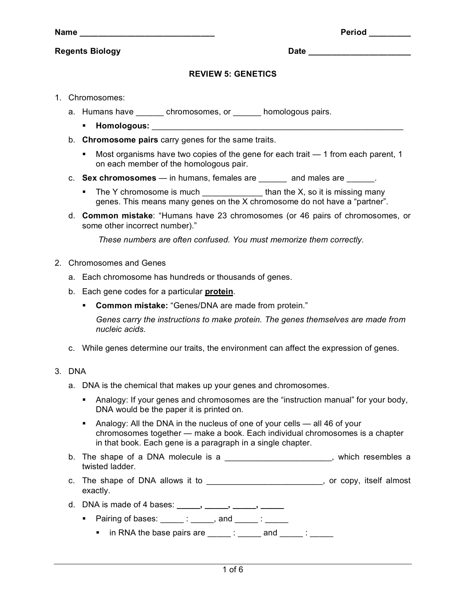| am |  |
|----|--|
|    |  |

## **Regents Biology Date \_\_\_\_\_\_\_\_\_\_\_\_\_\_\_\_\_\_\_\_\_\_**

 $Period$  *Magnetia* **<b>Period** 

## **REVIEW 5: GENETICS**

- 1. Chromosomes:
	- a. Humans have been chromosomes, or homologous pairs.
		- **Homologous:**  $\blacksquare$
	- b. **Chromosome pairs** carry genes for the same traits.
		- Most organisms have two copies of the gene for each trait 1 from each parent, 1 on each member of the homologous pair.
	- c. **Sex chromosomes**  in humans, females are \_\_\_\_\_\_ and males are \_\_\_\_\_\_.
		- The Y chromosome is much  $\Box$  than the X, so it is missing many genes. This means many genes on the X chromosome do not have a "partner".
	- d. **Common mistake**: "Humans have 23 chromosomes (or 46 pairs of chromosomes, or some other incorrect number)."

*These numbers are often confused. You must memorize them correctly.*

- 2. Chromosomes and Genes
	- a. Each chromosome has hundreds or thousands of genes.
	- b. Each gene codes for a particular **protein**.
		- **Common mistake:** "Genes/DNA are made from protein."

*Genes carry the instructions to make protein. The genes themselves are made from nucleic acids.*

- c. While genes determine our traits, the environment can affect the expression of genes.
- 3. DNA
	- a. DNA is the chemical that makes up your genes and chromosomes.
		- Analogy: If your genes and chromosomes are the "instruction manual" for your body, DNA would be the paper it is printed on.
		- Analogy: All the DNA in the nucleus of one of your cells all 46 of your chromosomes together — make a book. Each individual chromosomes is a chapter in that book. Each gene is a paragraph in a single chapter.
	- b. The shape of a DNA molecule is a **EXA contract a set of the sembles** a twisted ladder.
	- c. The shape of DNA allows it to example a set of the shape of DNA allows it to the state of the state of the state of the state of the state of the state of the state of the state of the state of the state of the state of exactly.
	- d. DNA is made of 4 bases: **\_\_\_\_\_, \_\_\_\_\_, \_\_\_\_\_, \_\_\_\_\_**
		- Pairing of bases:  $\qquad \qquad$ : , and  $\qquad \qquad$ :
			- $\blacksquare$  in RNA the base pairs are \_\_\_\_\_ : \_\_\_\_\_ and \_\_\_\_\_ : \_\_\_\_\_\_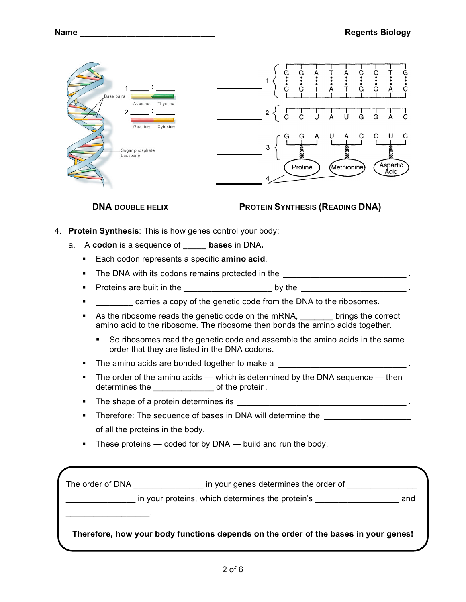| Base pairs<br>Adenine<br>Thymine<br>2.<br>Cytosine<br>Guanine<br>Sugar phosphate<br>backbone<br><b>DNA DOUBLE HELIX</b>                                                                                           | င့<br>.<br>G<br>$\frac{1}{6}$<br>ċ<br>$2 \langle$<br>J<br>U<br>G<br>G<br>С<br>υ<br>G<br>3<br>Aspartic<br>(Methionine)<br>Proline<br>Acid<br><b>PROTEIN SYNTHESIS (READING DNA)</b> |  |  |  |
|-------------------------------------------------------------------------------------------------------------------------------------------------------------------------------------------------------------------|------------------------------------------------------------------------------------------------------------------------------------------------------------------------------------|--|--|--|
| <b>Protein Synthesis:</b> This is how genes control your body:<br>4.                                                                                                                                              |                                                                                                                                                                                    |  |  |  |
| A codon is a sequence of _____ bases in DNA.<br>a.                                                                                                                                                                |                                                                                                                                                                                    |  |  |  |
| Each codon represents a specific amino acid.                                                                                                                                                                      |                                                                                                                                                                                    |  |  |  |
| The DNA with its codons remains protected in the _______________________________<br>٠                                                                                                                             |                                                                                                                                                                                    |  |  |  |
| ٠                                                                                                                                                                                                                 |                                                                                                                                                                                    |  |  |  |
| carries a copy of the genetic code from the DNA to the ribosomes.                                                                                                                                                 |                                                                                                                                                                                    |  |  |  |
| As the ribosome reads the genetic code on the mRNA, setting the correct<br>amino acid to the ribosome. The ribosome then bonds the amino acids together.                                                          |                                                                                                                                                                                    |  |  |  |
| So ribosomes read the genetic code and assemble the amino acids in the same<br>order that they are listed in the DNA codons.                                                                                      |                                                                                                                                                                                    |  |  |  |
|                                                                                                                                                                                                                   |                                                                                                                                                                                    |  |  |  |
| The order of the amino acids $-$ which is determined by the DNA sequence $-$ then<br>determines the ________________ of the protein.                                                                              |                                                                                                                                                                                    |  |  |  |
| п                                                                                                                                                                                                                 |                                                                                                                                                                                    |  |  |  |
| Therefore: The sequence of bases in DNA will determine the<br>٠                                                                                                                                                   |                                                                                                                                                                                    |  |  |  |
| of all the proteins in the body.                                                                                                                                                                                  |                                                                                                                                                                                    |  |  |  |
|                                                                                                                                                                                                                   | These proteins — coded for by DNA — build and run the body.                                                                                                                        |  |  |  |
|                                                                                                                                                                                                                   | The order of DNA __________________ in your genes determines the order of _________________                                                                                        |  |  |  |
| in your proteins, which determines the protein's _______________________________<br>and<br><u> 1989 - Johann John Harry Harry Harry Harry Harry Harry Harry Harry Harry Harry Harry Harry Harry Harry Harry H</u> |                                                                                                                                                                                    |  |  |  |

**Therefore, how your body functions depends on the order of the bases in your genes!**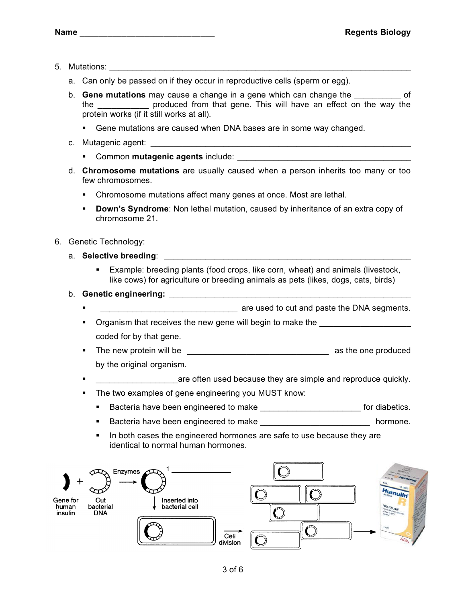- 5. Mutations: \_\_\_\_\_\_\_\_\_\_\_\_\_\_\_\_\_\_\_\_\_\_\_\_\_\_\_\_\_\_\_\_\_\_\_\_\_\_\_\_\_\_\_\_\_\_\_\_\_\_\_\_\_\_\_\_\_\_\_\_\_\_\_\_\_\_
	- a. Can only be passed on if they occur in reproductive cells (sperm or egg).
	- b. **Gene mutations** may cause a change in a gene which can change the \_\_\_\_\_\_\_\_\_\_ of the **the** produced from that gene. This will have an effect on the way the protein works (if it still works at all).
		- Gene mutations are caused when DNA bases are in some way changed.
	- c. Mutagenic agent:
		- **Common mutagenic agents** include:
	- d. **Chromosome mutations** are usually caused when a person inherits too many or too few chromosomes.
		- **EXEC** Chromosome mutations affect many genes at once. Most are lethal.
		- **Down's Syndrome**: Non lethal mutation, caused by inheritance of an extra copy of chromosome 21.
- 6. Genetic Technology:
	- a. Selective breeding: **Example 2018** 
		- Example: breeding plants (food crops, like corn, wheat) and animals (livestock, like cows) for agriculture or breeding animals as pets (likes, dogs, cats, birds)

## b. **Genetic engineering:** \_\_\_\_\_\_\_\_\_\_\_\_\_\_\_\_\_\_\_\_\_\_\_\_\_\_\_\_\_\_\_\_\_\_\_\_\_\_\_\_\_\_\_\_\_\_\_\_\_\_\_\_\_

- are used to cut and paste the DNA segments.
- $\blacksquare$  Organism that receives the new gene will begin to make the coded for by that gene.
- The new protein will be the same state of the state of the state of the state of the state of the state of the state of the state of the state of the state of the state of the state of the state of the state of the state by the original organism.
- **EXECUTE:**  $\frac{1}{2}$  are often used because they are simple and reproduce quickly.
- The two examples of gene engineering you MUST know:
	- **Bacteria have been engineered to make engineered for diabetics.**
	- **Bacteria have been engineered to make engineered formone.**
	- In both cases the engineered hormones are safe to use because they are identical to normal human hormones.

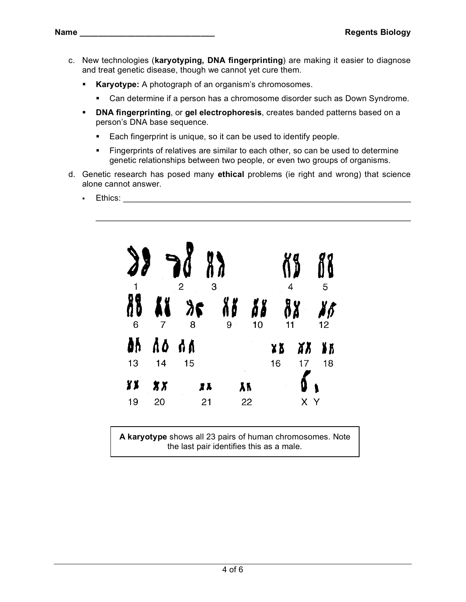- c. New technologies (**karyotyping, DNA fingerprinting**) are making it easier to diagnose and treat genetic disease, though we cannot yet cure them.
	- **Karyotype:** A photograph of an organism's chromosomes.
		- Can determine if a person has a chromosome disorder such as Down Syndrome.
	- **DNA fingerprinting**, or **gel electrophoresis**, creates banded patterns based on a person's DNA base sequence.
		- Each fingerprint is unique, so it can be used to identify people.
		- **Fingerprints of relatives are similar to each other, so can be used to determine** genetic relationships between two people, or even two groups of organisms.

\_\_\_\_\_\_\_\_\_\_\_\_\_\_\_\_\_\_\_\_\_\_\_\_\_\_\_\_\_\_\_\_\_\_\_\_\_\_\_\_\_\_\_\_\_\_\_\_\_\_\_\_\_\_\_\_\_\_\_\_\_\_\_\_\_\_\_\_\_

- d. Genetic research has posed many **ethical** problems (ie right and wrong) that science alone cannot answer.
	- **Ethics:**  $\blacksquare$



**A karyotype** shows all 23 pairs of human chromosomes. Note the last pair identifies this as a male.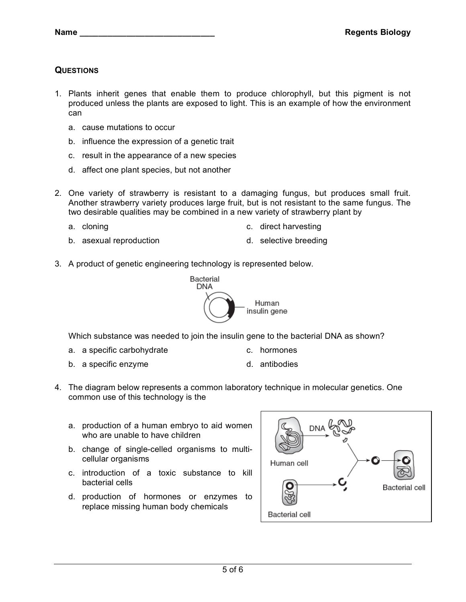## **QUESTIONS**

- 1. Plants inherit genes that enable them to produce chlorophyll, but this pigment is not produced unless the plants are exposed to light. This is an example of how the environment can
	- a. cause mutations to occur
	- b. influence the expression of a genetic trait
	- c. result in the appearance of a new species
	- d. affect one plant species, but not another
- 2. One variety of strawberry is resistant to a damaging fungus, but produces small fruit. Another strawberry variety produces large fruit, but is not resistant to the same fungus. The two desirable qualities may be combined in a new variety of strawberry plant by
	-
	- b. asexual reproduction b. selective breeding
	- a. cloning c. direct harvesting
		-
- 3. A product of genetic engineering technology is represented below.



Which substance was needed to join the insulin gene to the bacterial DNA as shown?

- a. a specific carbohydrate **c.** hormones
	-
- b. a specific enzyme d. antibodies
- 
- 4. The diagram below represents a common laboratory technique in molecular genetics. One common use of this technology is the
	- a. production of a human embryo to aid women who are unable to have children
	- b. change of single-celled organisms to multicellular organisms
	- c. introduction of a toxic substance to kill bacterial cells
	- d. production of hormones or enzymes to replace missing human body chemicals